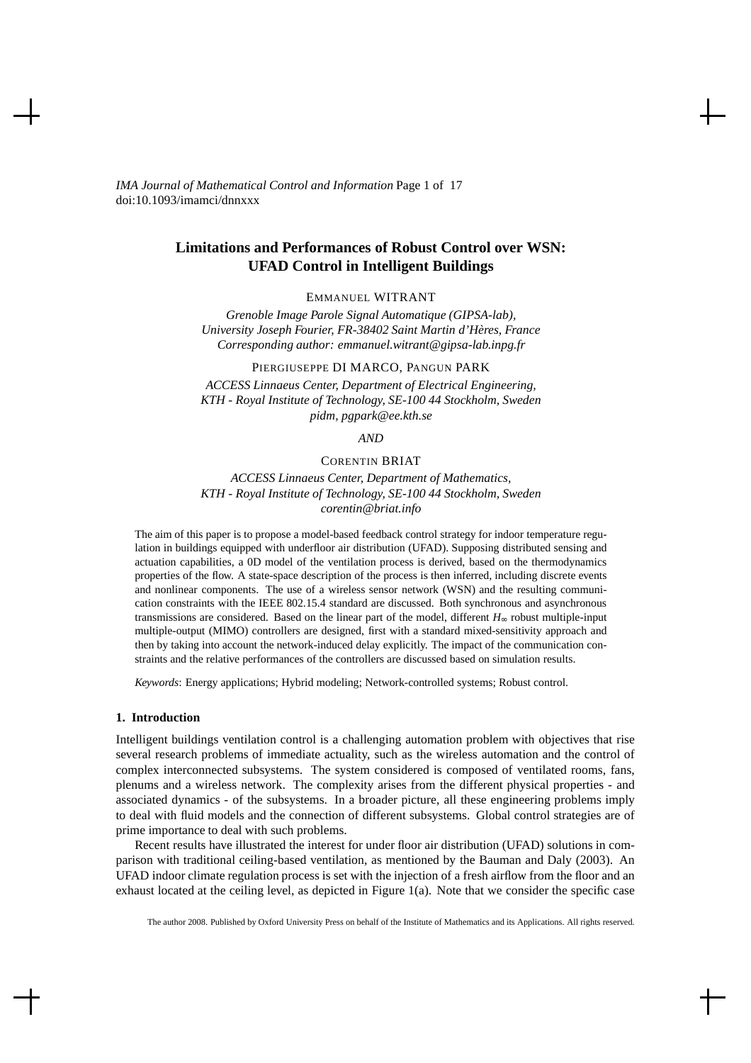*IMA Journal of Mathematical Control and Information* Page 1 of 17 doi:10.1093/imamci/dnnxxx

# **Limitations and Performances of Robust Control over WSN: UFAD Control in Intelligent Buildings**

# EMMANUEL WITRANT

*Grenoble Image Parole Signal Automatique (GIPSA-lab), University Joseph Fourier, FR-38402 Saint Martin d'Heres, France ` Corresponding author: emmanuel.witrant@gipsa-lab.inpg.fr*

# PIERGIUSEPPE DI MARCO, PANGUN PARK

*ACCESS Linnaeus Center, Department of Electrical Engineering, KTH - Royal Institute of Technology, SE-100 44 Stockholm, Sweden pidm, pgpark@ee.kth.se*

# *AND*

## CORENTIN BRIAT

*ACCESS Linnaeus Center, Department of Mathematics, KTH - Royal Institute of Technology, SE-100 44 Stockholm, Sweden corentin@briat.info*

The aim of this paper is to propose a model-based feedback control strategy for indoor temperature regulation in buildings equipped with underfloor air distribution (UFAD). Supposing distributed sensing and actuation capabilities, a 0D model of the ventilation process is derived, based on the thermodynamics properties of the flow. A state-space description of the process is then inferred, including discrete events and nonlinear components. The use of a wireless sensor network (WSN) and the resulting communication constraints with the IEEE 802.15.4 standard are discussed. Both synchronous and asynchronous transmissions are considered. Based on the linear part of the model, different *H*∞ robust multiple-input multiple-output (MIMO) controllers are designed, first with a standard mixed-sensitivity approach and then by taking into account the network-induced delay explicitly. The impact of the communication constraints and the relative performances of the controllers are discussed based on simulation results.

*Keywords*: Energy applications; Hybrid modeling; Network-controlled systems; Robust control.

## **1. Introduction**

Intelligent buildings ventilation control is a challenging automation problem with objectives that rise several research problems of immediate actuality, such as the wireless automation and the control of complex interconnected subsystems. The system considered is composed of ventilated rooms, fans, plenums and a wireless network. The complexity arises from the different physical properties - and associated dynamics - of the subsystems. In a broader picture, all these engineering problems imply to deal with fluid models and the connection of different subsystems. Global control strategies are of prime importance to deal with such problems.

Recent results have illustrated the interest for under floor air distribution (UFAD) solutions in comparison with traditional ceiling-based ventilation, as mentioned by the Bauman and Daly (2003). An UFAD indoor climate regulation process is set with the injection of a fresh airflow from the floor and an exhaust located at the ceiling level, as depicted in Figure 1(a). Note that we consider the specific case

The author 2008. Published by Oxford University Press on behalf of the Institute of Mathematics and its Applications. All rights reserved.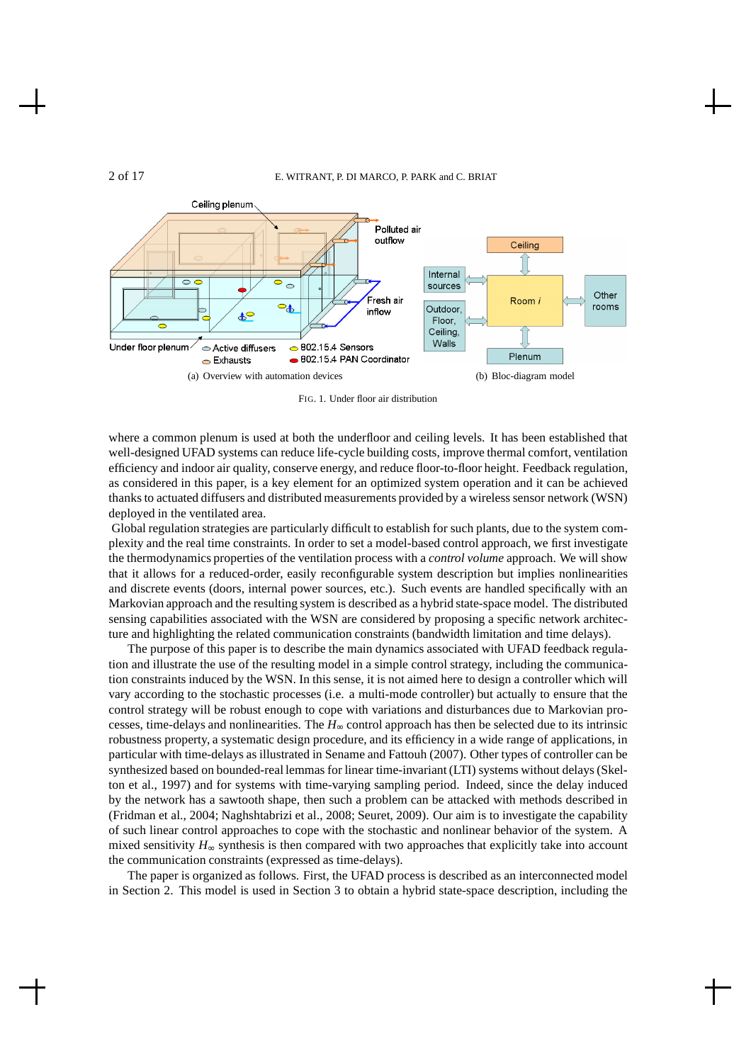

FIG. 1. Under floor air distribution

where a common plenum is used at both the underfloor and ceiling levels. It has been established that well-designed UFAD systems can reduce life-cycle building costs, improve thermal comfort, ventilation efficiency and indoor air quality, conserve energy, and reduce floor-to-floor height. Feedback regulation, as considered in this paper, is a key element for an optimized system operation and it can be achieved thanks to actuated diffusers and distributed measurements provided by a wireless sensor network (WSN) deployed in the ventilated area.

Global regulation strategies are particularly difficult to establish for such plants, due to the system complexity and the real time constraints. In order to set a model-based control approach, we first investigate the thermodynamics properties of the ventilation process with a *control volume* approach. We will show that it allows for a reduced-order, easily reconfigurable system description but implies nonlinearities and discrete events (doors, internal power sources, etc.). Such events are handled specifically with an Markovian approach and the resulting system is described as a hybrid state-space model. The distributed sensing capabilities associated with the WSN are considered by proposing a specific network architecture and highlighting the related communication constraints (bandwidth limitation and time delays).

The purpose of this paper is to describe the main dynamics associated with UFAD feedback regulation and illustrate the use of the resulting model in a simple control strategy, including the communication constraints induced by the WSN. In this sense, it is not aimed here to design a controller which will vary according to the stochastic processes (i.e. a multi-mode controller) but actually to ensure that the control strategy will be robust enough to cope with variations and disturbances due to Markovian processes, time-delays and nonlinearities. The *H*<sup>∞</sup> control approach has then be selected due to its intrinsic robustness property, a systematic design procedure, and its efficiency in a wide range of applications, in particular with time-delays as illustrated in Sename and Fattouh (2007). Other types of controller can be synthesized based on bounded-real lemmas for linear time-invariant (LTI) systems without delays (Skelton et al., 1997) and for systems with time-varying sampling period. Indeed, since the delay induced by the network has a sawtooth shape, then such a problem can be attacked with methods described in (Fridman et al., 2004; Naghshtabrizi et al., 2008; Seuret, 2009). Our aim is to investigate the capability of such linear control approaches to cope with the stochastic and nonlinear behavior of the system. A mixed sensitivity  $H_{\infty}$  synthesis is then compared with two approaches that explicitly take into account the communication constraints (expressed as time-delays).

The paper is organized as follows. First, the UFAD process is described as an interconnected model in Section 2. This model is used in Section 3 to obtain a hybrid state-space description, including the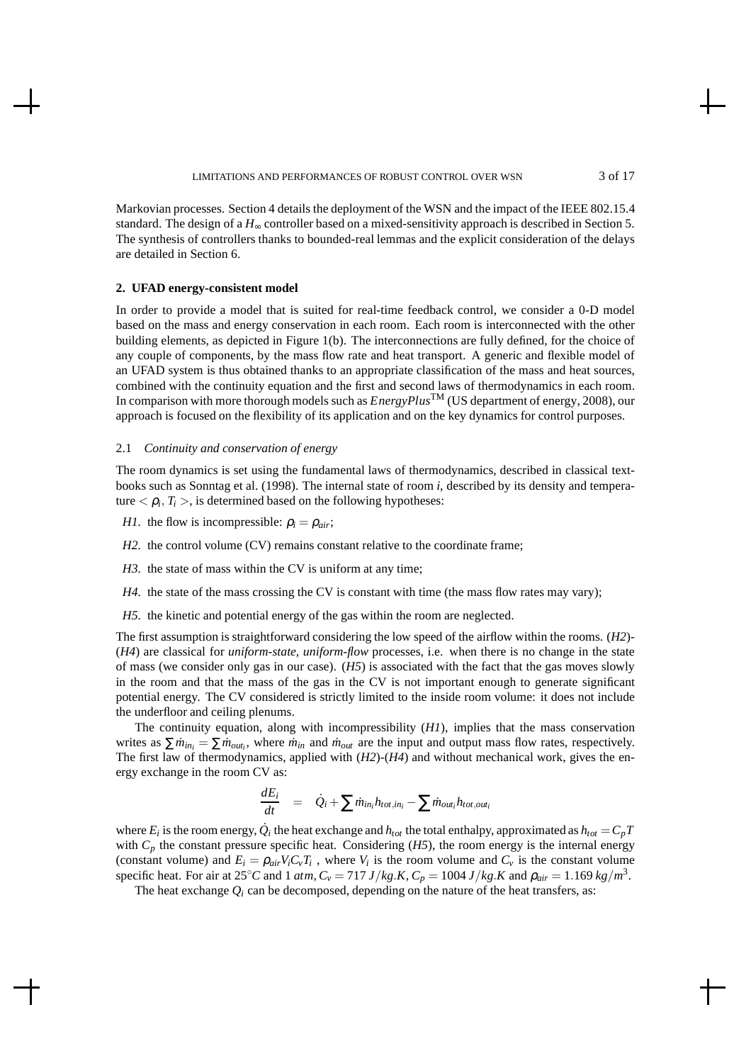Markovian processes. Section 4 details the deployment of the WSN and the impact of the IEEE 802.15.4 standard. The design of a *H*<sup>∞</sup> controller based on a mixed-sensitivity approach is described in Section 5. The synthesis of controllers thanks to bounded-real lemmas and the explicit consideration of the delays are detailed in Section 6.

#### **2. UFAD energy-consistent model**

In order to provide a model that is suited for real-time feedback control, we consider a 0-D model based on the mass and energy conservation in each room. Each room is interconnected with the other building elements, as depicted in Figure 1(b). The interconnections are fully defined, for the choice of any couple of components, by the mass flow rate and heat transport. A generic and flexible model of an UFAD system is thus obtained thanks to an appropriate classification of the mass and heat sources, combined with the continuity equation and the first and second laws of thermodynamics in each room. In comparison with more thorough models such as *EnergyPlus*TM (US department of energy, 2008), our approach is focused on the flexibility of its application and on the key dynamics for control purposes.

## 2.1 *Continuity and conservation of energy*

The room dynamics is set using the fundamental laws of thermodynamics, described in classical textbooks such as Sonntag et al. (1998). The internal state of room *i*, described by its density and temperature  $\langle \rho_i, T_i \rangle$ , is determined based on the following hypotheses:

- *H1.* the flow is incompressible:  $\rho_i = \rho_{air}$ ;
- *H2.* the control volume (CV) remains constant relative to the coordinate frame;
- *H3.* the state of mass within the CV is uniform at any time;
- *H4.* the state of the mass crossing the CV is constant with time (the mass flow rates may vary);
- *H5.* the kinetic and potential energy of the gas within the room are neglected.

The first assumption is straightforward considering the low speed of the airflow within the rooms. (*H2*)- (*H4*) are classical for *uniform-state, uniform-flow* processes, i.e. when there is no change in the state of mass (we consider only gas in our case). (*H5*) is associated with the fact that the gas moves slowly in the room and that the mass of the gas in the CV is not important enough to generate significant potential energy. The CV considered is strictly limited to the inside room volume: it does not include the underfloor and ceiling plenums.

The continuity equation, along with incompressibility (*H1*), implies that the mass conservation writes as  $\sum \dot{m}_{in_i} = \sum \dot{m}_{out_i}$ , where  $\dot{m}_{in}$  and  $\dot{m}_{out}$  are the input and output mass flow rates, respectively. The first law of thermodynamics, applied with (*H2*)-(*H4*) and without mechanical work, gives the energy exchange in the room CV as:

$$
\frac{dE_i}{dt} = \dot{Q}_i + \sum \dot{m}_{in_i} h_{tot, in_i} - \sum \dot{m}_{out_i} h_{tot, out_i}
$$

where  $E_i$  is the room energy,  $\dot{Q}_i$  the heat exchange and  $h_{tot}$  the total enthalpy, approximated as  $h_{tot} = C_p T$ with  $C_p$  the constant pressure specific heat. Considering  $(H5)$ , the room energy is the internal energy (constant volume) and  $E_i = \rho_{air} V_i C_v T_i$ , where  $V_i$  is the room volume and  $C_v$  is the constant volume specific heat. For air at 25<sup>°</sup>*C* and 1 *atm*,  $C_v = 717 J/kg$ *.K*,  $C_p = 1004 J/kg$ *.K* and  $\rho_{air} = 1.169 kg/m^3$ .

The heat exchange  $Q_i$  can be decomposed, depending on the nature of the heat transfers, as: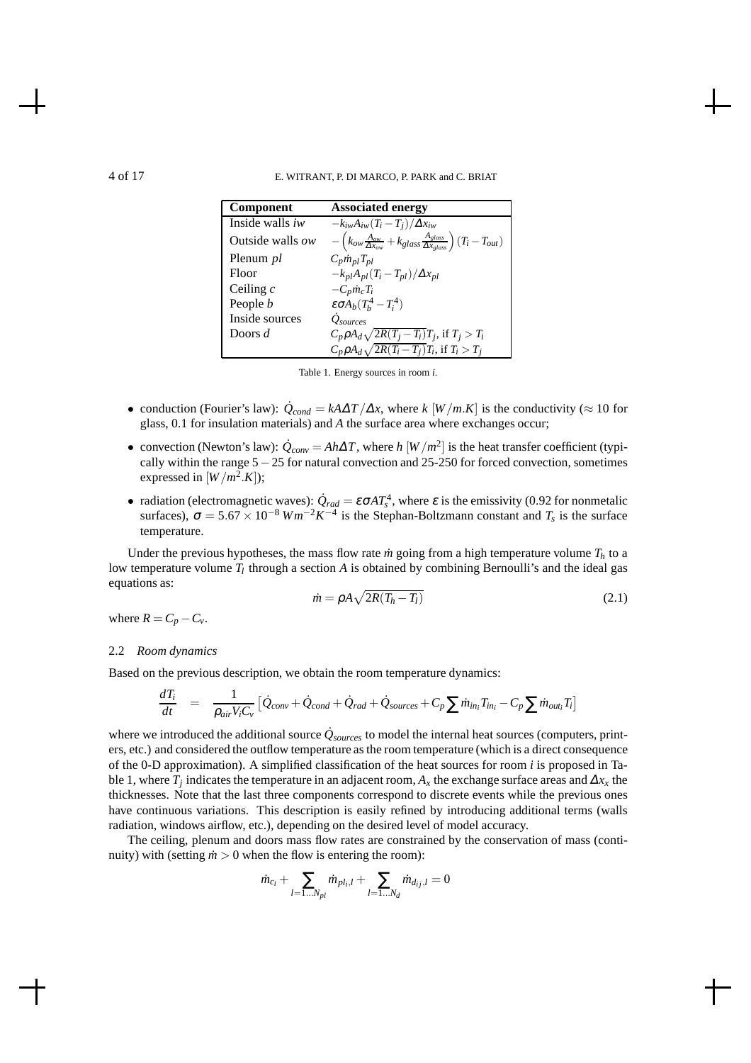| Component          | <b>Associated energy</b>                                                                                    |
|--------------------|-------------------------------------------------------------------------------------------------------------|
| Inside walls iw    | $-k_{iw}A_{iw}(T_i-T_i)/\Delta x_{iw}$                                                                      |
| Outside walls $ow$ | $-\left(k_{ow}\frac{A_{ow}}{\Delta x_{ow}}+k_{glass}\frac{A_{glass}}{\Delta x_{glass}}\right)(T_i-T_{out})$ |
| Plenum <i>pl</i>   | $C_p m_{pl} T_{pl}$                                                                                         |
| Floor              | $-k_{pl}A_{pl}(T_i-T_{pl})/\Delta x_{pl}$                                                                   |
| Ceiling $c$        | $-C_p m_c T_i$                                                                                              |
| People <i>b</i>    | $\varepsilon \sigma A_h (T_h^4 - T_i^4)$                                                                    |
| Inside sources     | $O_{sources}$                                                                                               |
| Doors $d$          | $C_p \rho A_d \sqrt{2R(T_i-T_i)}T_i$ , if $T_i > T_i$                                                       |
|                    | $C_p \rho A_d \sqrt{2R(T_i-T_i)}T_i$ , if $T_i > T_i$                                                       |

Table 1. Energy sources in room *i*.

- conduction (Fourier's law):  $\dot{Q}_{cond} = kA\Delta T/\Delta x$ , where  $k [W/m.K]$  is the conductivity ( $\approx 10$  for glass, 0.1 for insulation materials) and *A* the surface area where exchanges occur;
- convection (Newton's law):  $\dot{Q}_{conv} = Ah\Delta T$ , where *h* [*W*/*m*<sup>2</sup>] is the heat transfer coefficient (typically within the range  $5-25$  for natural convection and 25-250 for forced convection, sometimes expressed in  $[W/m^2.K]$ );
- radiation (electromagnetic waves):  $\dot{Q}_{rad} = \epsilon \sigma A T_s^4$ , where  $\epsilon$  is the emissivity (0.92 for nonmetalic surfaces),  $\sigma = 5.67 \times 10^{-8}$  *Wm*<sup>-2</sup>*K*<sup>-4</sup> is the Stephan-Boltzmann constant and  $T_s$  is the surface temperature.

Under the previous hypotheses, the mass flow rate  $\dot{m}$  going from a high temperature volume  $T_h$  to a low temperature volume  $T_l$  through a section *A* is obtained by combining Bernoulli's and the ideal gas equations as:

$$
\dot{m} = \rho A \sqrt{2R(T_h - T_l)}\tag{2.1}
$$

where  $R = C_p - C_v$ .

#### 2.2 *Room dynamics*

Based on the previous description, we obtain the room temperature dynamics:

$$
\frac{dT_i}{dt} = \frac{1}{\rho_{air}V_iC_v} \left[ \dot{Q}_{conv} + \dot{Q}_{cond} + \dot{Q}_{rad} + \dot{Q}_{sources} + C_p \sum \dot{m}_{in_i} T_{in_i} - C_p \sum \dot{m}_{out_i} T_i \right]
$$

where we introduced the additional source  $\dot{Q}_{sources}$  to model the internal heat sources (computers, printers, etc.) and considered the outflow temperature as the room temperature (which is a direct consequence of the 0-D approximation). A simplified classification of the heat sources for room *i* is proposed in Table 1, where  $T_j$  indicates the temperature in an adjacent room,  $A_x$  the exchange surface areas and  $\Delta x_x$  the thicknesses. Note that the last three components correspond to discrete events while the previous ones have continuous variations. This description is easily refined by introducing additional terms (walls radiation, windows airflow, etc.), depending on the desired level of model accuracy.

The ceiling, plenum and doors mass flow rates are constrained by the conservation of mass (continuity) with (setting  $\dot{m} > 0$  when the flow is entering the room):

$$
\dot{m}_{c_i} + \sum_{l=1...N_{pl}} \dot{m}_{pl_i,l} + \sum_{l=1...N_d} \dot{m}_{d_{ij},l} = 0
$$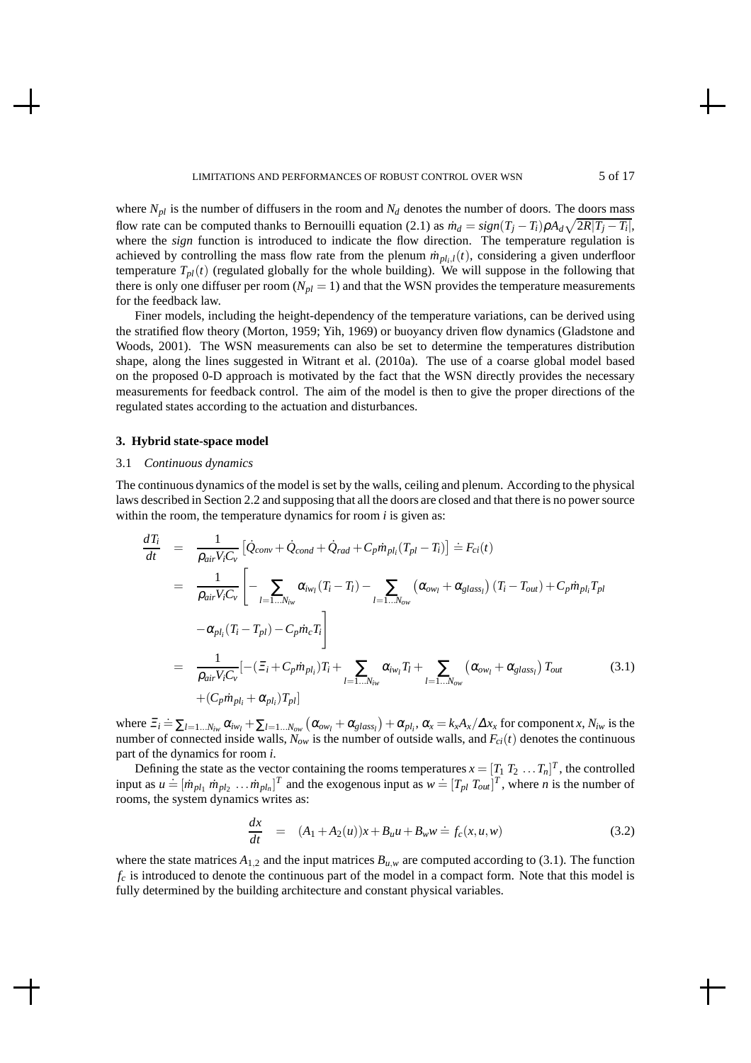where  $N_{pl}$  is the number of diffusers in the room and  $N_d$  denotes the number of doors. The doors mass flow rate can be computed thanks to Bernouilli equation (2.1) as  $\dot{m}_d = sign(T_j - T_i)\rho A_d \sqrt{2R|T_j - T_i|}$ , where the *sign* function is introduced to indicate the flow direction. The temperature regulation is achieved by controlling the mass flow rate from the plenum  $\dot{m}_{pli}(t)$ , considering a given underfloor temperature  $T_{pl}(t)$  (regulated globally for the whole building). We will suppose in the following that there is only one diffuser per room  $(N_{pl} = 1)$  and that the WSN provides the temperature measurements for the feedback law.

Finer models, including the height-dependency of the temperature variations, can be derived using the stratified flow theory (Morton, 1959; Yih, 1969) or buoyancy driven flow dynamics (Gladstone and Woods, 2001). The WSN measurements can also be set to determine the temperatures distribution shape, along the lines suggested in Witrant et al. (2010a). The use of a coarse global model based on the proposed 0-D approach is motivated by the fact that the WSN directly provides the necessary measurements for feedback control. The aim of the model is then to give the proper directions of the regulated states according to the actuation and disturbances.

#### **3. Hybrid state-space model**

## 3.1 *Continuous dynamics*

The continuous dynamics of the model is set by the walls, ceiling and plenum. According to the physical laws described in Section 2.2 and supposing that all the doors are closed and that there is no power source within the room, the temperature dynamics for room *i* is given as:

$$
\frac{dT_i}{dt} = \frac{1}{\rho_{air} V_i C_v} \left[ \dot{Q}_{conv} + \dot{Q}_{cond} + \dot{Q}_{rad} + C_p \dot{m}_{pl_i} (T_{pl} - T_i) \right] = F_{ci}(t)
$$
\n
$$
= \frac{1}{\rho_{air} V_i C_v} \left[ - \sum_{l=1...N_{iw}} \alpha_{iw_l} (T_i - T_l) - \sum_{l=1...N_{ow}} \left( \alpha_{ow_l} + \alpha_{glass_l} \right) (T_i - T_{out}) + C_p \dot{m}_{pl_i} T_{pl} - \alpha_{pl_i} (T_i - T_{pl}) - C_p \dot{m}_c T_i \right]
$$
\n
$$
= \frac{1}{\rho_{air} V_i C_v} \left[ - (\Xi_i + C_p \dot{m}_{pl_i}) T_i + \sum_{l=1...N_{iw}} \alpha_{iw_l} T_l + \sum_{l=1...N_{ow}} \left( \alpha_{ow_l} + \alpha_{glass_l} \right) T_{out} \right]
$$
\n
$$
+ (C_p \dot{m}_{pl_i} + \alpha_{pl_i}) T_{pl}
$$
\n(3.1)

where  $\Xi_i \doteq \sum_{l=1...N_{iw}} \alpha_{iw_l} + \sum_{l=1...N_{ow}} (\alpha_{ow_l} + \alpha_{glass_l}) + \alpha_{pl_i}, \alpha_x = k_x A_x / \Delta x_x$  for component x,  $N_{iw}$  is the number of connected inside walls,  $N_{ow}$  is the number of outside walls, and  $F_{ci}(t)$  denotes the continuous part of the dynamics for room *i*.

Defining the state as the vector containing the rooms temperatures  $x = [T_1 T_2 ... T_n]^T$ , the controlled input as  $u = [m_{pl_1} m_{pl_2} ... m_{pl_n}]^T$  and the exogenous input as  $w = [T_{pl} T_{out}]^T$ , where *n* is the number of rooms, the system dynamics writes as:

$$
\frac{dx}{dt} = (A_1 + A_2(u))x + B_u u + B_w w \doteq f_c(x, u, w)
$$
\n(3.2)

where the state matrices  $A_{1,2}$  and the input matrices  $B_{\mu,\nu}$  are computed according to (3.1). The function  $f_c$  is introduced to denote the continuous part of the model in a compact form. Note that this model is fully determined by the building architecture and constant physical variables.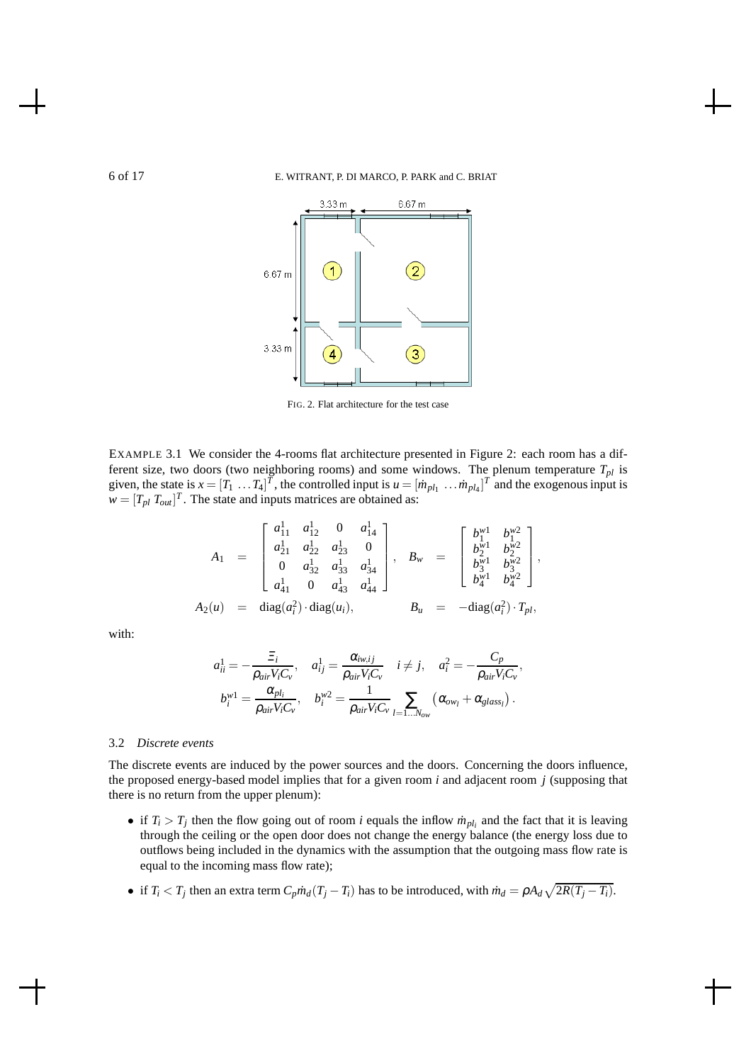

FIG. 2. Flat architecture for the test case

EXAMPLE 3.1 We consider the 4-rooms flat architecture presented in Figure 2: each room has a different size, two doors (two neighboring rooms) and some windows. The plenum temperature  $T_{pl}$  is given, the state is  $x = [T_1 \dots T_4]^T$ , the controlled input is  $u = [m_{pl_1} \dots m_{pl_4}]^T$  and the exogenous input is  $w = [T_{pl} T_{out}]^T$ . The state and inputs matrices are obtained as:

$$
A_1 = \begin{bmatrix} a_{11}^1 & a_{12}^1 & 0 & a_{14}^1 \\ a_{21}^1 & a_{22}^1 & a_{23}^1 & 0 \\ 0 & a_{32}^1 & a_{33}^1 & a_{34}^1 \\ a_{41}^1 & 0 & a_{43}^1 & a_{44}^1 \end{bmatrix}, \quad B_w = \begin{bmatrix} b_1^{w1} & b_1^{w2} \\ b_2^{w1} & b_2^{w2} \\ b_3^{w1} & b_3^{w2} \\ b_4^{w1} & b_4^{w2} \end{bmatrix},
$$
  

$$
A_2(u) = \text{diag}(a_i^2) \cdot \text{diag}(u_i), \qquad B_u = -\text{diag}(a_i^2) \cdot T_{pl},
$$

with:

$$
a_{ii}^1 = -\frac{\Xi_i}{\rho_{air}V_iC_v}, \quad a_{ij}^1 = \frac{\alpha_{iw,ij}}{\rho_{air}V_iC_v} \quad i \neq j, \quad a_i^2 = -\frac{C_p}{\rho_{air}V_iC_v},
$$

$$
b_i^{w1} = \frac{\alpha_{pl_i}}{\rho_{air}V_iC_v}, \quad b_i^{w2} = \frac{1}{\rho_{air}V_iC_v} \sum_{l=1...N_{ow}} (\alpha_{ow_l} + \alpha_{glass_l}).
$$

#### 3.2 *Discrete events*

The discrete events are induced by the power sources and the doors. Concerning the doors influence, the proposed energy-based model implies that for a given room *i* and adjacent room *j* (supposing that there is no return from the upper plenum):

- if  $T_i > T_j$  then the flow going out of room *i* equals the inflow  $\dot{m}_{pl_i}$  and the fact that it is leaving through the ceiling or the open door does not change the energy balance (the energy loss due to outflows being included in the dynamics with the assumption that the outgoing mass flow rate is equal to the incoming mass flow rate);
- if  $T_i < T_j$  then an extra term  $C_p m_d (T_j T_i)$  has to be introduced, with  $m_d = \rho A_d \sqrt{2R(T_j T_i)}$ .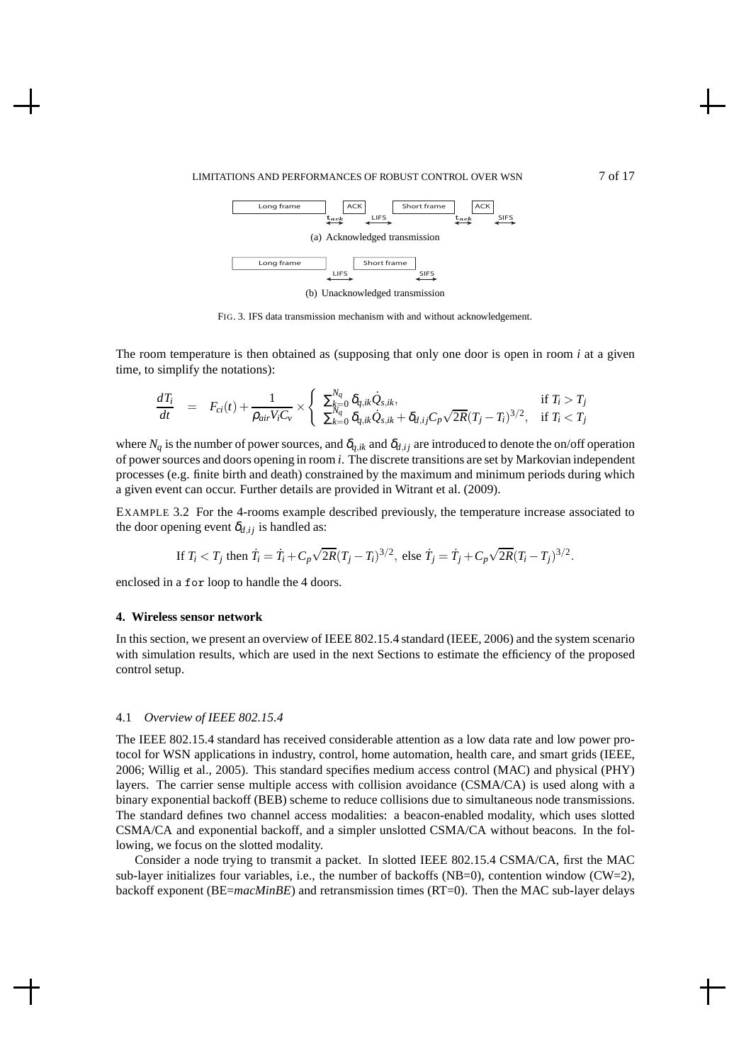## LIMITATIONS AND PERFORMANCES OF ROBUST CONTROL OVER WSN  $7$  of 17



FIG. 3. IFS data transmission mechanism with and without acknowledgement.

The room temperature is then obtained as (supposing that only one door is open in room *i* at a given time, to simplify the notations):

$$
\frac{dT_i}{dt} = F_{ci}(t) + \frac{1}{\rho_{air}V_iC_v} \times \left\{ \begin{array}{l l} \sum_{k=0}^{N_q} \delta_{q,ik} \dot{Q}_{s,ik}, & \text{if } T_i > T_j \\ \sum_{k=0}^{N_q} \delta_{q,ik} \dot{Q}_{s,ik} + \delta_{d,ij} C_p \sqrt{2R}(T_j - T_i)^{3/2}, & \text{if } T_i < T_j \end{array} \right.
$$

where  $N_q$  is the number of power sources, and  $\delta_{q,i,k}$  and  $\delta_{d,i,j}$  are introduced to denote the on/off operation of power sources and doors opening in room *i*. The discrete transitions are set by Markovian independent processes (e.g. finite birth and death) constrained by the maximum and minimum periods during which a given event can occur. Further details are provided in Witrant et al. (2009).

EXAMPLE 3.2 For the 4-rooms example described previously, the temperature increase associated to the door opening event  $\delta_{d,ij}$  is handled as:

If 
$$
T_i < T_j
$$
 then  $\dot{T}_i = \dot{T}_i + C_p \sqrt{2R}(T_j - T_i)^{3/2}$ , else  $\dot{T}_j = \dot{T}_j + C_p \sqrt{2R}(T_i - T_j)^{3/2}$ .

enclosed in a for loop to handle the 4 doors.

#### **4. Wireless sensor network**

In this section, we present an overview of IEEE 802.15.4 standard (IEEE, 2006) and the system scenario with simulation results, which are used in the next Sections to estimate the efficiency of the proposed control setup.

## 4.1 *Overview of IEEE 802.15.4*

The IEEE 802.15.4 standard has received considerable attention as a low data rate and low power protocol for WSN applications in industry, control, home automation, health care, and smart grids (IEEE, 2006; Willig et al., 2005). This standard specifies medium access control (MAC) and physical (PHY) layers. The carrier sense multiple access with collision avoidance (CSMA/CA) is used along with a binary exponential backoff (BEB) scheme to reduce collisions due to simultaneous node transmissions. The standard defines two channel access modalities: a beacon-enabled modality, which uses slotted CSMA/CA and exponential backoff, and a simpler unslotted CSMA/CA without beacons. In the following, we focus on the slotted modality.

Consider a node trying to transmit a packet. In slotted IEEE 802.15.4 CSMA/CA, first the MAC sub-layer initializes four variables, i.e., the number of backoffs (NB=0), contention window (CW=2), backoff exponent (BE=*macMinBE*) and retransmission times (RT=0). Then the MAC sub-layer delays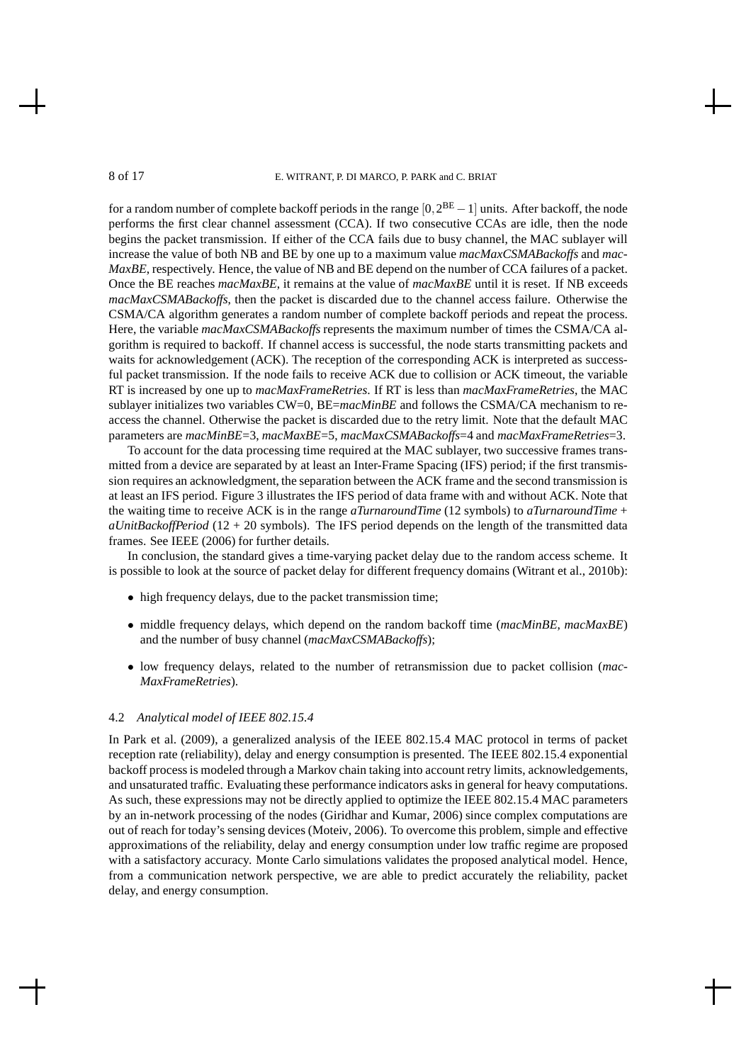for a random number of complete backoff periods in the range  $[0,2^{BE}-1]$  units. After backoff, the node performs the first clear channel assessment (CCA). If two consecutive CCAs are idle, then the node begins the packet transmission. If either of the CCA fails due to busy channel, the MAC sublayer will increase the value of both NB and BE by one up to a maximum value *macMaxCSMABackoffs* and *mac-MaxBE*, respectively. Hence, the value of NB and BE depend on the number of CCA failures of a packet. Once the BE reaches *macMaxBE*, it remains at the value of *macMaxBE* until it is reset. If NB exceeds *macMaxCSMABackoffs*, then the packet is discarded due to the channel access failure. Otherwise the CSMA/CA algorithm generates a random number of complete backoff periods and repeat the process. Here, the variable *macMaxCSMABackoffs* represents the maximum number of times the CSMA/CA algorithm is required to backoff. If channel access is successful, the node starts transmitting packets and waits for acknowledgement (ACK). The reception of the corresponding ACK is interpreted as successful packet transmission. If the node fails to receive ACK due to collision or ACK timeout, the variable RT is increased by one up to *macMaxFrameRetries*. If RT is less than *macMaxFrameRetries*, the MAC sublayer initializes two variables CW=0, BE=*macMinBE* and follows the CSMA/CA mechanism to reaccess the channel. Otherwise the packet is discarded due to the retry limit. Note that the default MAC parameters are *macMinBE*=3, *macMaxBE*=5, *macMaxCSMABackoffs*=4 and *macMaxFrameRetries*=3.

To account for the data processing time required at the MAC sublayer, two successive frames transmitted from a device are separated by at least an Inter-Frame Spacing (IFS) period; if the first transmission requires an acknowledgment, the separation between the ACK frame and the second transmission is at least an IFS period. Figure 3 illustrates the IFS period of data frame with and without ACK. Note that the waiting time to receive ACK is in the range *aTurnaroundTime* (12 symbols) to *aTurnaroundTime* + *aUnitBackoffPeriod* (12 + 20 symbols). The IFS period depends on the length of the transmitted data frames. See IEEE (2006) for further details.

In conclusion, the standard gives a time-varying packet delay due to the random access scheme. It is possible to look at the source of packet delay for different frequency domains (Witrant et al., 2010b):

- high frequency delays, due to the packet transmission time;
- middle frequency delays, which depend on the random backoff time (*macMinBE*, *macMaxBE*) and the number of busy channel (*macMaxCSMABackoffs*);
- low frequency delays, related to the number of retransmission due to packet collision (*mac-MaxFrameRetries*).

# 4.2 *Analytical model of IEEE 802.15.4*

In Park et al. (2009), a generalized analysis of the IEEE 802.15.4 MAC protocol in terms of packet reception rate (reliability), delay and energy consumption is presented. The IEEE 802.15.4 exponential backoff process is modeled through a Markov chain taking into account retry limits, acknowledgements, and unsaturated traffic. Evaluating these performance indicators asks in general for heavy computations. As such, these expressions may not be directly applied to optimize the IEEE 802.15.4 MAC parameters by an in-network processing of the nodes (Giridhar and Kumar, 2006) since complex computations are out of reach for today's sensing devices (Moteiv, 2006). To overcome this problem, simple and effective approximations of the reliability, delay and energy consumption under low traffic regime are proposed with a satisfactory accuracy. Monte Carlo simulations validates the proposed analytical model. Hence, from a communication network perspective, we are able to predict accurately the reliability, packet delay, and energy consumption.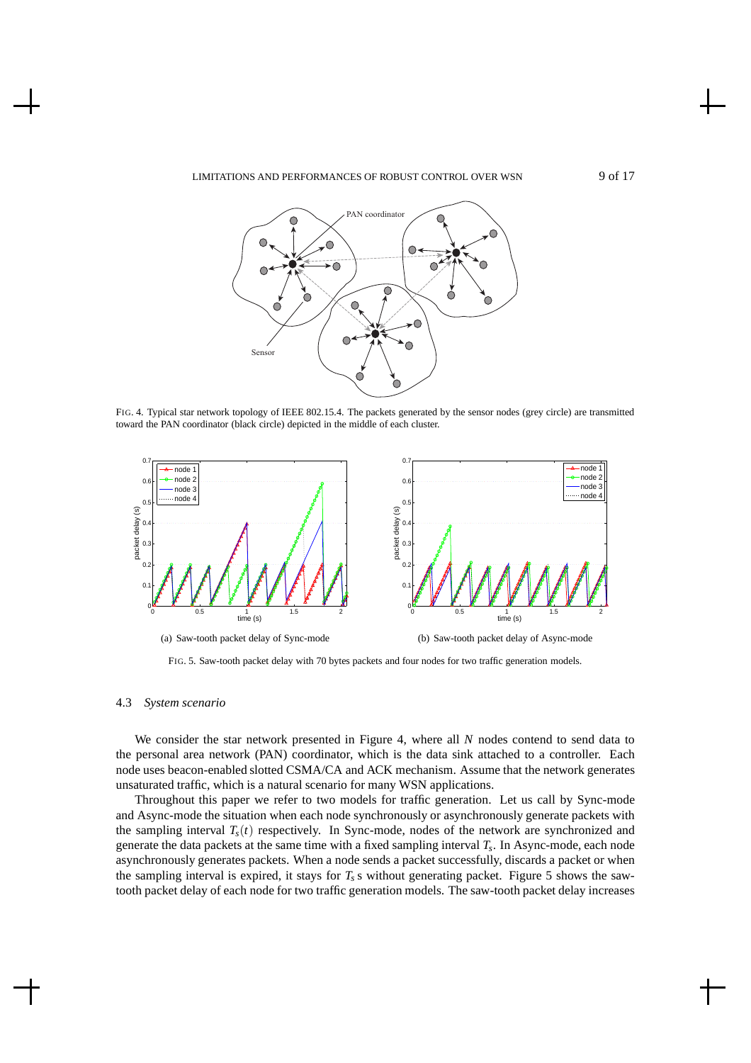#### LIMITATIONS AND PERFORMANCES OF ROBUST CONTROL OVER WSN 9 of 17



FIG. 4. Typical star network topology of IEEE 802.15.4. The packets generated by the sensor nodes (grey circle) are transmitted toward the PAN coordinator (black circle) depicted in the middle of each cluster.



FIG. 5. Saw-tooth packet delay with 70 bytes packets and four nodes for two traffic generation models.

#### 4.3 *System scenario*

We consider the star network presented in Figure 4, where all N nodes contend to send data to the personal area network (PAN) coordinator, which is the data sink attached to a controller. Each node uses beacon-enabled slotted CSMA/CA and ACK mechanism. Assume that the network generates unsaturated traffic, which is a natural scenario for many WSN applications.

Throughout this paper we refer to two models for traffic generation. Let us call by Sync-mode and Async-mode the situation when each node synchronously or asynchronously generate packets with the sampling interval  $T<sub>s</sub>(t)$  respectively. In Sync-mode, nodes of the network are synchronized and generate the data packets at the same time with a fixed sampling interval *T<sup>s</sup>* . In Async-mode, each node asynchronously generates packets. When a node sends a packet successfully, discards a packet or when the sampling interval is expired, it stays for  $T_s$  s without generating packet. Figure 5 shows the sawtooth packet delay of each node for two traffic generation models. The saw-tooth packet delay increases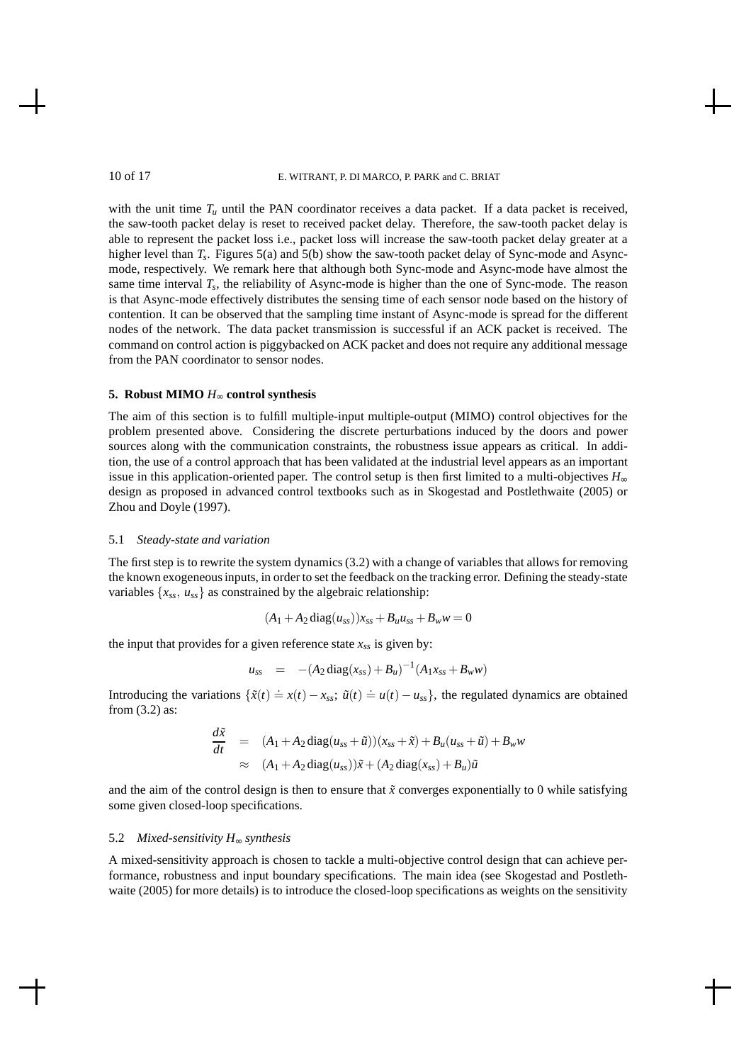with the unit time  $T_u$  until the PAN coordinator receives a data packet. If a data packet is received, the saw-tooth packet delay is reset to received packet delay. Therefore, the saw-tooth packet delay is able to represent the packet loss i.e., packet loss will increase the saw-tooth packet delay greater at a higher level than  $T_s$ . Figures 5(a) and 5(b) show the saw-tooth packet delay of Sync-mode and Asyncmode, respectively. We remark here that although both Sync-mode and Async-mode have almost the same time interval *T<sup>s</sup>* , the reliability of Async-mode is higher than the one of Sync-mode. The reason is that Async-mode effectively distributes the sensing time of each sensor node based on the history of contention. It can be observed that the sampling time instant of Async-mode is spread for the different nodes of the network. The data packet transmission is successful if an ACK packet is received. The command on control action is piggybacked on ACK packet and does not require any additional message from the PAN coordinator to sensor nodes.

# **5. Robust MIMO** *H*<sup>∞</sup> **control synthesis**

The aim of this section is to fulfill multiple-input multiple-output (MIMO) control objectives for the problem presented above. Considering the discrete perturbations induced by the doors and power sources along with the communication constraints, the robustness issue appears as critical. In addition, the use of a control approach that has been validated at the industrial level appears as an important issue in this application-oriented paper. The control setup is then first limited to a multi-objectives *H*<sup>∞</sup> design as proposed in advanced control textbooks such as in Skogestad and Postlethwaite (2005) or Zhou and Doyle (1997).

#### 5.1 *Steady-state and variation*

The first step is to rewrite the system dynamics (3.2) with a change of variables that allows for removing the known exogeneous inputs, in order to set the feedback on the tracking error. Defining the steady-state variables  $\{x_{ss}, u_{ss}\}$  as constrained by the algebraic relationship:

$$
(A1+A2diag(uss))xss+Buuss+Bww=0
$$

the input that provides for a given reference state  $x_{ss}$  is given by:

$$
u_{ss} = -(A_2 \text{diag}(x_{ss}) + B_u)^{-1} (A_1 x_{ss} + B_w w)
$$

Introducing the variations  $\{\tilde{x}(t) = x(t) - x_{ss}; \tilde{u}(t) = u(t) - u_{ss}\}\)$ , the regulated dynamics are obtained from (3.2) as:

$$
\frac{d\tilde{x}}{dt} = (A_1 + A_2 \operatorname{diag}(u_{ss} + \tilde{u}))(x_{ss} + \tilde{x}) + B_u(u_{ss} + \tilde{u}) + B_w w
$$
  
\n
$$
\approx (A_1 + A_2 \operatorname{diag}(u_{ss}))\tilde{x} + (A_2 \operatorname{diag}(x_{ss}) + B_u)\tilde{u}
$$

and the aim of the control design is then to ensure that  $\tilde{x}$  converges exponentially to 0 while satisfying some given closed-loop specifications.

## 5.2 *Mixed-sensitivity H*<sup>∞</sup> *synthesis*

A mixed-sensitivity approach is chosen to tackle a multi-objective control design that can achieve performance, robustness and input boundary specifications. The main idea (see Skogestad and Postlethwaite (2005) for more details) is to introduce the closed-loop specifications as weights on the sensitivity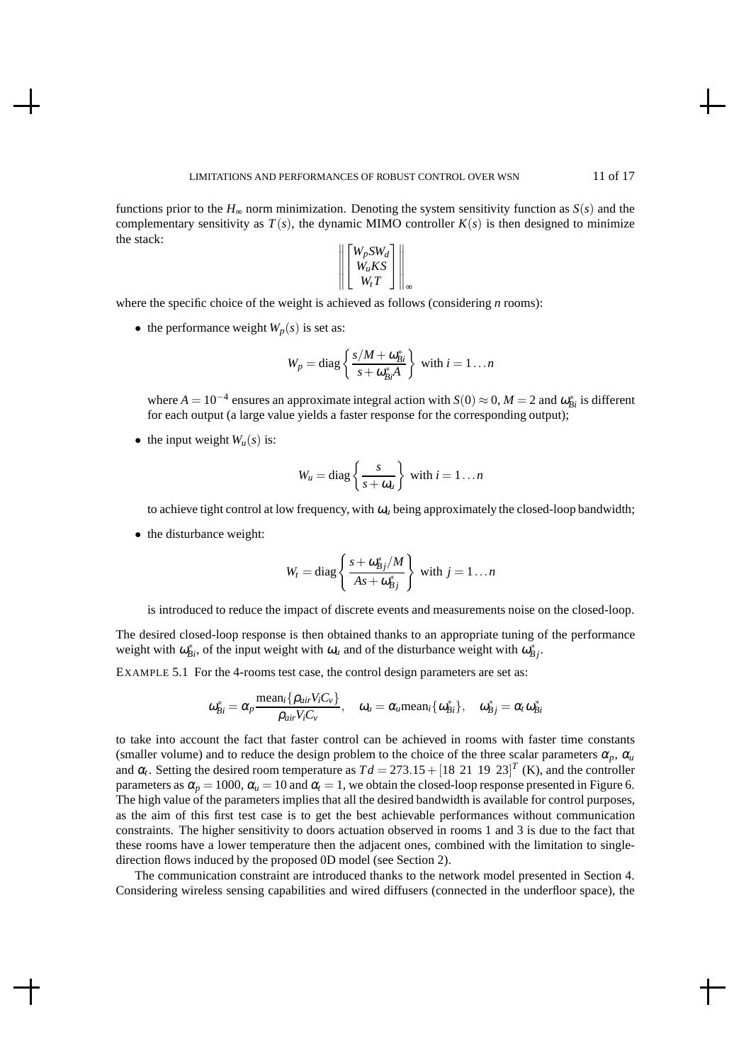∞

functions prior to the  $H_{\infty}$  norm minimization. Denoting the system sensitivity function as  $S(s)$  and the complementary sensitivity as  $T(s)$ , the dynamic MIMO controller  $K(s)$  is then designed to minimize the stack:

$$
\left\| \begin{bmatrix} W_p S W_d \\ W_u K S \\ W_t T \end{bmatrix} \right\|
$$

where the specific choice of the weight is achieved as follows (considering *n* rooms):

• the performance weight  $W_p(s)$  is set as:

$$
W_p = \text{diag}\left\{\frac{s/M + \omega_{Bi}^*}{s + \omega_{Bi}^*A}\right\} \text{ with } i = 1...n
$$

where  $A = 10^{-4}$  ensures an approximate integral action with  $S(0) \approx 0$ ,  $M = 2$  and  $\omega_{Bi}^*$  is different for each output (a large value yields a faster response for the corresponding output);

• the input weight  $W_u(s)$  is:

$$
W_u = \text{diag}\left\{\frac{s}{s + \omega_u}\right\} \text{ with } i = 1 \dots n
$$

to achieve tight control at low frequency, with  $\omega_\mu$  being approximately the closed-loop bandwidth;

• the disturbance weight:

$$
W_t = \text{diag}\left\{\frac{s + \omega_{Bj}^*/M}{As + \omega_{Bj}^*}\right\} \text{ with } j = 1...n
$$

is introduced to reduce the impact of discrete events and measurements noise on the closed-loop.

The desired closed-loop response is then obtained thanks to an appropriate tuning of the performance weight with  $\omega_{Bi}^*$ , of the input weight with  $\omega_u$  and of the disturbance weight with  $\omega_{Bi}^*$ .

EXAMPLE 5.1 For the 4-rooms test case, the control design parameters are set as:

$$
\omega_{Bi}^* = \alpha_p \frac{\text{mean}_i \{ \rho_{air} V_i C_v \}}{\rho_{air} V_i C_v}, \quad \omega_u = \alpha_u \text{mean}_i \{ \omega_{Bi}^* \}, \quad \omega_{Bj}^* = \alpha_t \omega_{Bi}^*
$$

to take into account the fact that faster control can be achieved in rooms with faster time constants (smaller volume) and to reduce the design problem to the choice of the three scalar parameters  $\alpha_p$ ,  $\alpha_u$ and  $\alpha_t$ . Setting the desired room temperature as  $Td = 273.15 + [18 \ 21 \ 19 \ 23]^T$  (K), and the controller parameters as  $\alpha_p = 1000$ ,  $\alpha_u = 10$  and  $\alpha_t = 1$ , we obtain the closed-loop response presented in Figure 6. The high value of the parameters implies that all the desired bandwidth is available for control purposes, as the aim of this first test case is to get the best achievable performances without communication constraints. The higher sensitivity to doors actuation observed in rooms 1 and 3 is due to the fact that these rooms have a lower temperature then the adjacent ones, combined with the limitation to singledirection flows induced by the proposed 0D model (see Section 2).

The communication constraint are introduced thanks to the network model presented in Section 4. Considering wireless sensing capabilities and wired diffusers (connected in the underfloor space), the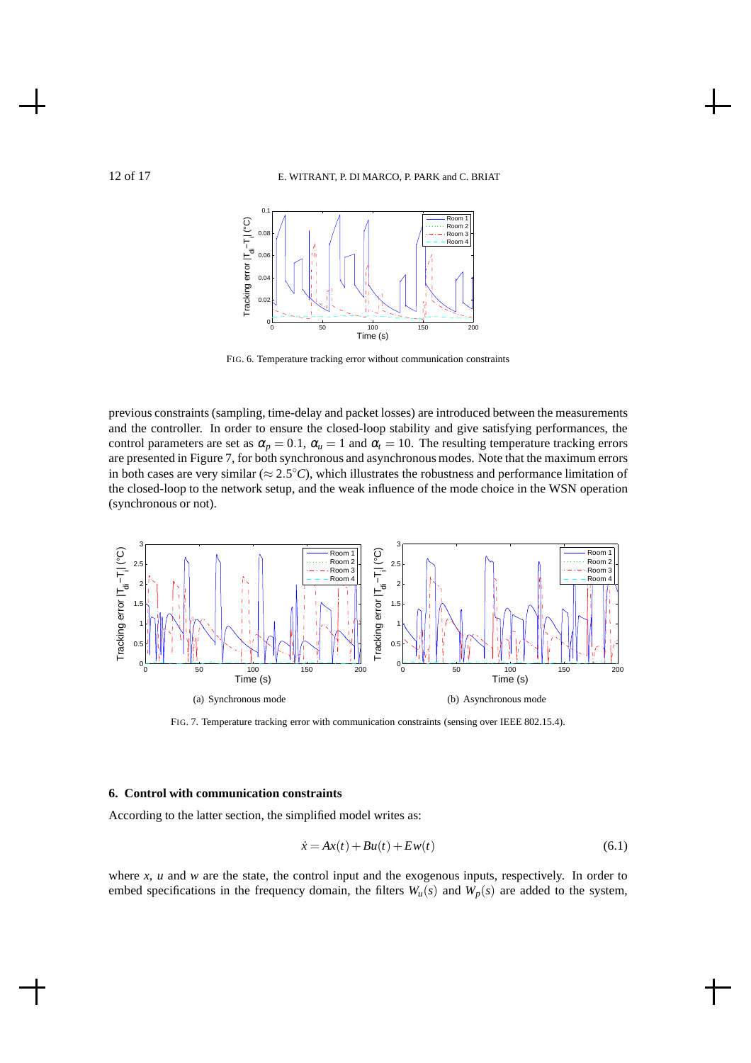

FIG. 6. Temperature tracking error without communication constraints

previous constraints (sampling, time-delay and packet losses) are introduced between the measurements and the controller. In order to ensure the closed-loop stability and give satisfying performances, the control parameters are set as  $\alpha_p = 0.1$ ,  $\alpha_u = 1$  and  $\alpha_t = 10$ . The resulting temperature tracking errors are presented in Figure 7, for both synchronous and asynchronous modes. Note that the maximum errors in both cases are very similar ( $\approx 2.5^{\circ}C$ ), which illustrates the robustness and performance limitation of the closed-loop to the network setup, and the weak influence of the mode choice in the WSN operation (synchronous or not).



FIG. 7. Temperature tracking error with communication constraints (sensing over IEEE 802.15.4).

# **6. Control with communication constraints**

According to the latter section, the simplified model writes as:

$$
\dot{x} = Ax(t) + Bu(t) + Ew(t) \tag{6.1}
$$

where *x*, *u* and *w* are the state, the control input and the exogenous inputs, respectively. In order to embed specifications in the frequency domain, the filters  $W_u(s)$  and  $W_p(s)$  are added to the system,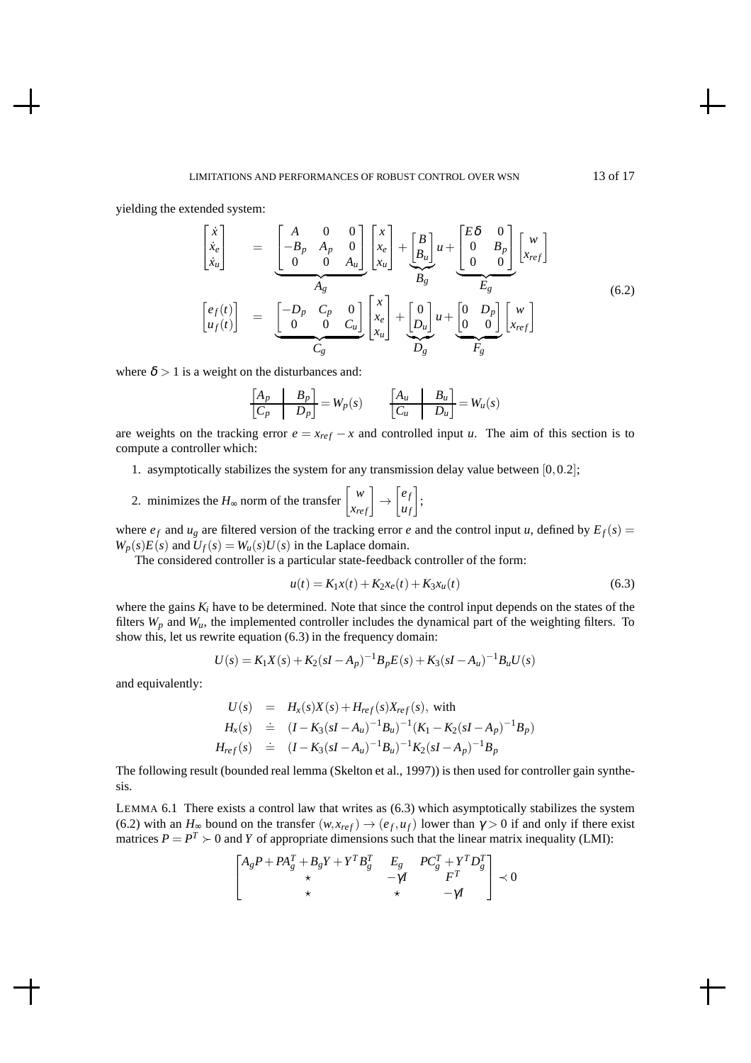yielding the extended system:

$$
\begin{bmatrix} \dot{x} \\ \dot{x}_e \\ \dot{x}_u \end{bmatrix} = \underbrace{\begin{bmatrix} A & 0 & 0 \\ -B_p & A_p & 0 \\ 0 & 0 & A_u \end{bmatrix}}_{A_g} \underbrace{\begin{bmatrix} x \\ x_e \\ x_u \end{bmatrix}}_{B_g} + \underbrace{\begin{bmatrix} B \\ B_u \end{bmatrix}}_{B_g} u + \underbrace{\begin{bmatrix} E\delta & 0 \\ 0 & B_p \end{bmatrix}}_{B_g} \underbrace{\begin{bmatrix} w \\ x_{ref} \end{bmatrix}}_{E_g}
$$
\n
$$
\begin{bmatrix} e_f(t) \\ u_f(t) \end{bmatrix} = \underbrace{\begin{bmatrix} -D_p & C_p & 0 \\ 0 & 0 & C_u \end{bmatrix}}_{C_g} \underbrace{\begin{bmatrix} x \\ x_e \\ x_u \end{bmatrix}}_{B_g} + \underbrace{\begin{bmatrix} 0 \\ D_u \end{bmatrix}}_{B_g} u + \underbrace{\begin{bmatrix} 0 & D_p \\ 0 & 0 \end{bmatrix}}_{F_g} \underbrace{\begin{bmatrix} w \\ x_{ref} \end{bmatrix}}_{F_g}
$$
\n(6.2)

where  $\delta > 1$  is a weight on the disturbances and:

$$
\begin{bmatrix} A_p & B_p \ C_p & D_p \end{bmatrix} = W_p(s) \qquad \begin{bmatrix} A_u & B_u \ C_u & D_u \end{bmatrix} = W_u(s)
$$

are weights on the tracking error  $e = x_{ref} - x$  and controlled input *u*. The aim of this section is to compute a controller which:

- 1. asymptotically stabilizes the system for any transmission delay value between [0,0.2];
- 2. minimizes the  $H_{\infty}$  norm of the transfer  $\begin{bmatrix} w \\ x_{ref} \end{bmatrix} \rightarrow$  $\lceil e_f$ *uf* ;

where  $e_f$  and  $u_g$  are filtered version of the tracking error *e* and the control input *u*, defined by  $E_f(s)$  =  $W_p(s)E(s)$  and  $U_f(s) = W_u(s)U(s)$  in the Laplace domain.

The considered controller is a particular state-feedback controller of the form:

$$
u(t) = K_1 x(t) + K_2 x_e(t) + K_3 x_u(t)
$$
\n(6.3)

where the gains  $K_i$  have to be determined. Note that since the control input depends on the states of the filters *W<sup>p</sup>* and *Wu*, the implemented controller includes the dynamical part of the weighting filters. To show this, let us rewrite equation (6.3) in the frequency domain:

$$
U(s) = K_1 X(s) + K_2 (sI - A_p)^{-1} B_p E(s) + K_3 (sI - A_u)^{-1} B_u U(s)
$$

and equivalently:

$$
U(s) = H_x(s)X(s) + H_{ref}(s)X_{ref}(s),
$$
 with  
\n
$$
H_x(s) \doteq (I - K_3(sI - A_u)^{-1}B_u)^{-1}(K_1 - K_2(sI - A_p)^{-1}B_p)
$$
  
\n
$$
H_{ref}(s) \doteq (I - K_3(sI - A_u)^{-1}B_u)^{-1}K_2(sI - A_p)^{-1}B_p
$$

The following result (bounded real lemma (Skelton et al., 1997)) is then used for controller gain synthesis.

LEMMA 6.1 There exists a control law that writes as (6.3) which asymptotically stabilizes the system (6.2) with an  $H_{\infty}$  bound on the transfer  $(w, x_{ref}) \rightarrow (e_f, u_f)$  lower than  $\gamma > 0$  if and only if there exist matrices  $P = P^T \succ 0$  and *Y* of appropriate dimensions such that the linear matrix inequality (LMI):

$$
\begin{bmatrix} A_g P + P A_g^T + B_g Y + Y^T B_g^T & E_g & P C_g^T + Y^T D_g^T \\ \star & -\gamma I & F^T \\ \star & \star & -\gamma I \end{bmatrix} \prec 0
$$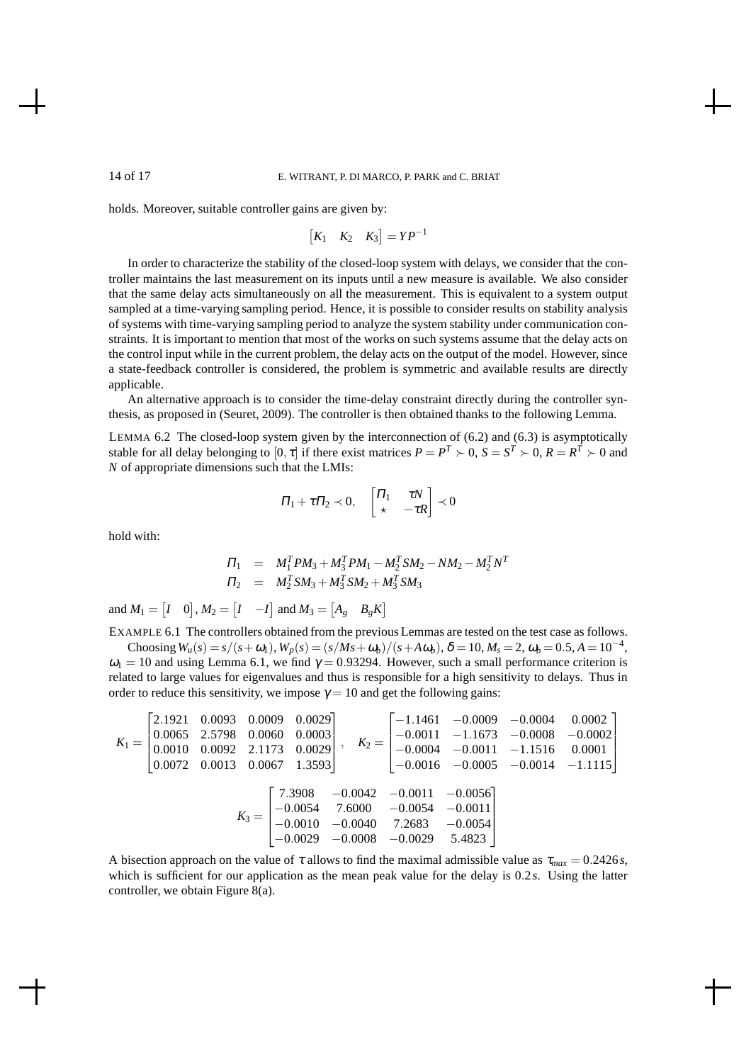holds. Moreover, suitable controller gains are given by:

$$
\begin{bmatrix} K_1 & K_2 & K_3 \end{bmatrix} = YP^{-1}
$$

In order to characterize the stability of the closed-loop system with delays, we consider that the controller maintains the last measurement on its inputs until a new measure is available. We also consider that the same delay acts simultaneously on all the measurement. This is equivalent to a system output sampled at a time-varying sampling period. Hence, it is possible to consider results on stability analysis of systems with time-varying sampling period to analyze the system stability under communication constraints. It is important to mention that most of the works on such systems assume that the delay acts on the control input while in the current problem, the delay acts on the output of the model. However, since a state-feedback controller is considered, the problem is symmetric and available results are directly applicable.

An alternative approach is to consider the time-delay constraint directly during the controller synthesis, as proposed in (Seuret, 2009). The controller is then obtained thanks to the following Lemma.

LEMMA 6.2 The closed-loop system given by the interconnection of (6.2) and (6.3) is asymptotically stable for all delay belonging to  $[0, \tau]$  if there exist matrices  $P = P^T \succ 0$ ,  $S = S^T \succ 0$ ,  $R = R^T \succ 0$  and *N* of appropriate dimensions such that the LMIs:

$$
\Pi_1 + \tau \Pi_2 \prec 0, \quad \begin{bmatrix} \Pi_1 & \tau N \\ \star & -\tau R \end{bmatrix} \prec 0
$$

hold with:

$$
\Pi_1 = M_1^T P M_3 + M_3^T P M_1 - M_2^T S M_2 - N M_2 - M_2^T N^T \n\Pi_2 = M_2^T S M_3 + M_3^T S M_2 + M_3^T S M_3
$$

and  $M_1 = [I \ 0], M_2 = [I \ -I]$  and  $M_3 = [A_g \ B_g K]$ 

EXAMPLE 6.1 The controllers obtained from the previous Lemmas are tested on the test case as follows.

Choosing  $W_u(s) = s/(s + \omega_1)$ ,  $W_p(s) = (s/Ms + \omega_b)/(s + A\omega_b)$ ,  $\delta = 10$ ,  $M_s = 2$ ,  $\omega_b = 0.5$ ,  $A = 10^{-4}$ ,  $\omega_1 = 10$  and using Lemma 6.1, we find  $\gamma = 0.93294$ . However, such a small performance criterion is related to large values for eigenvalues and thus is responsible for a high sensitivity to delays. Thus in order to reduce this sensitivity, we impose  $\gamma = 10$  and get the following gains:

$$
K_1 = \begin{bmatrix} 2.1921 & 0.0093 & 0.0009 & 0.0029 \\ 0.0065 & 2.5798 & 0.0060 & 0.0003 \\ 0.0010 & 0.0092 & 2.1173 & 0.0029 \\ 0.0072 & 0.0013 & 0.0067 & 1.3593 \end{bmatrix}, \quad K_2 = \begin{bmatrix} -1.1461 & -0.0009 & -0.0004 & 0.0002 \\ -0.0011 & -1.1673 & -0.0008 & -0.0002 \\ -0.0004 & -0.0011 & -1.1516 & 0.0001 \\ -0.0016 & -0.0005 & -0.0014 & -1.1115 \end{bmatrix}
$$

$$
K_3 = \begin{bmatrix} 7.3908 & -0.0042 & -0.0011 & -0.0056 \\ -0.0054 & 7.6000 & -0.0054 & -0.0011 \\ -0.0010 & -0.0040 & 7.2683 & -0.0054 \\ -0.0029 & -0.0008 & -0.0029 & 5.4823 \end{bmatrix}
$$

A bisection approach on the value of  $\tau$  allows to find the maximal admissible value as  $\tau_{max} = 0.2426 s$ , which is sufficient for our application as the mean peak value for the delay is 0.2*s*. Using the latter controller, we obtain Figure 8(a).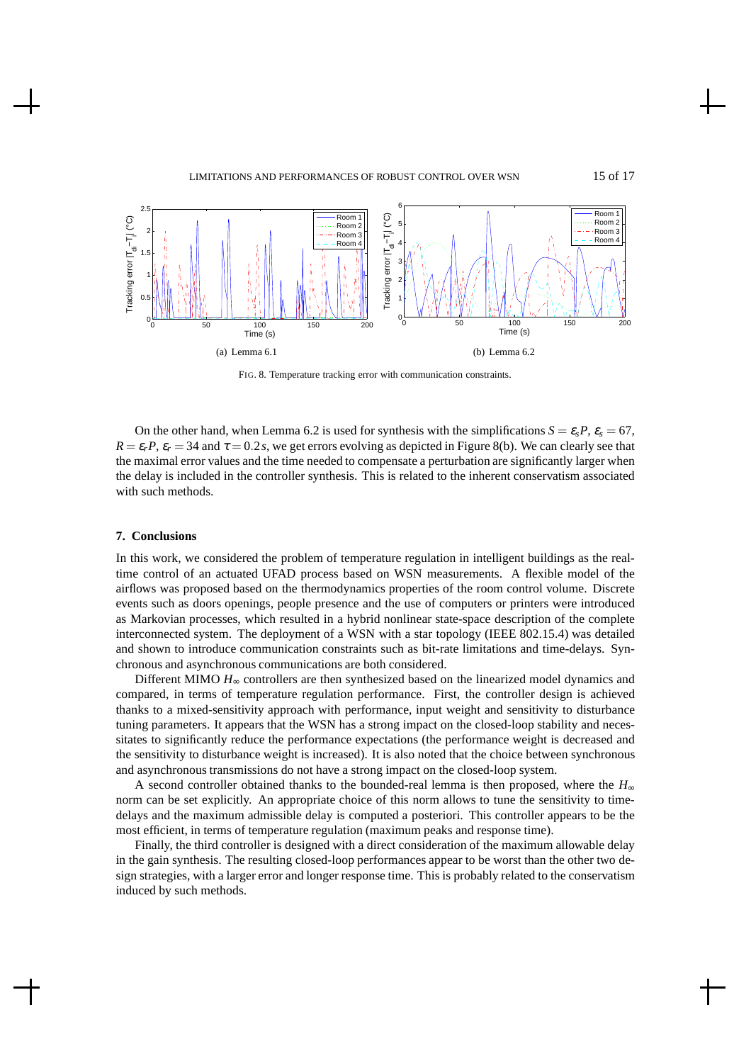# LIMITATIONS AND PERFORMANCES OF ROBUST CONTROL OVER WSN 15 of 17



FIG. 8. Temperature tracking error with communication constraints.

On the other hand, when Lemma 6.2 is used for synthesis with the simplifications  $S = \varepsilon_s P$ ,  $\varepsilon_s = 67$ ,  $R = \varepsilon_r P$ ,  $\varepsilon_r = 34$  and  $\tau = 0.2$ *s*, we get errors evolving as depicted in Figure 8(b). We can clearly see that the maximal error values and the time needed to compensate a perturbation are significantly larger when the delay is included in the controller synthesis. This is related to the inherent conservatism associated with such methods.

# **7. Conclusions**

In this work, we considered the problem of temperature regulation in intelligent buildings as the realtime control of an actuated UFAD process based on WSN measurements. A flexible model of the airflows was proposed based on the thermodynamics properties of the room control volume. Discrete events such as doors openings, people presence and the use of computers or printers were introduced as Markovian processes, which resulted in a hybrid nonlinear state-space description of the complete interconnected system. The deployment of a WSN with a star topology (IEEE 802.15.4) was detailed and shown to introduce communication constraints such as bit-rate limitations and time-delays. Synchronous and asynchronous communications are both considered.

Different MIMO *H*<sup>∞</sup> controllers are then synthesized based on the linearized model dynamics and compared, in terms of temperature regulation performance. First, the controller design is achieved thanks to a mixed-sensitivity approach with performance, input weight and sensitivity to disturbance tuning parameters. It appears that the WSN has a strong impact on the closed-loop stability and necessitates to significantly reduce the performance expectations (the performance weight is decreased and the sensitivity to disturbance weight is increased). It is also noted that the choice between synchronous and asynchronous transmissions do not have a strong impact on the closed-loop system.

A second controller obtained thanks to the bounded-real lemma is then proposed, where the *H*<sup>∞</sup> norm can be set explicitly. An appropriate choice of this norm allows to tune the sensitivity to timedelays and the maximum admissible delay is computed a posteriori. This controller appears to be the most efficient, in terms of temperature regulation (maximum peaks and response time).

Finally, the third controller is designed with a direct consideration of the maximum allowable delay in the gain synthesis. The resulting closed-loop performances appear to be worst than the other two design strategies, with a larger error and longer response time. This is probably related to the conservatism induced by such methods.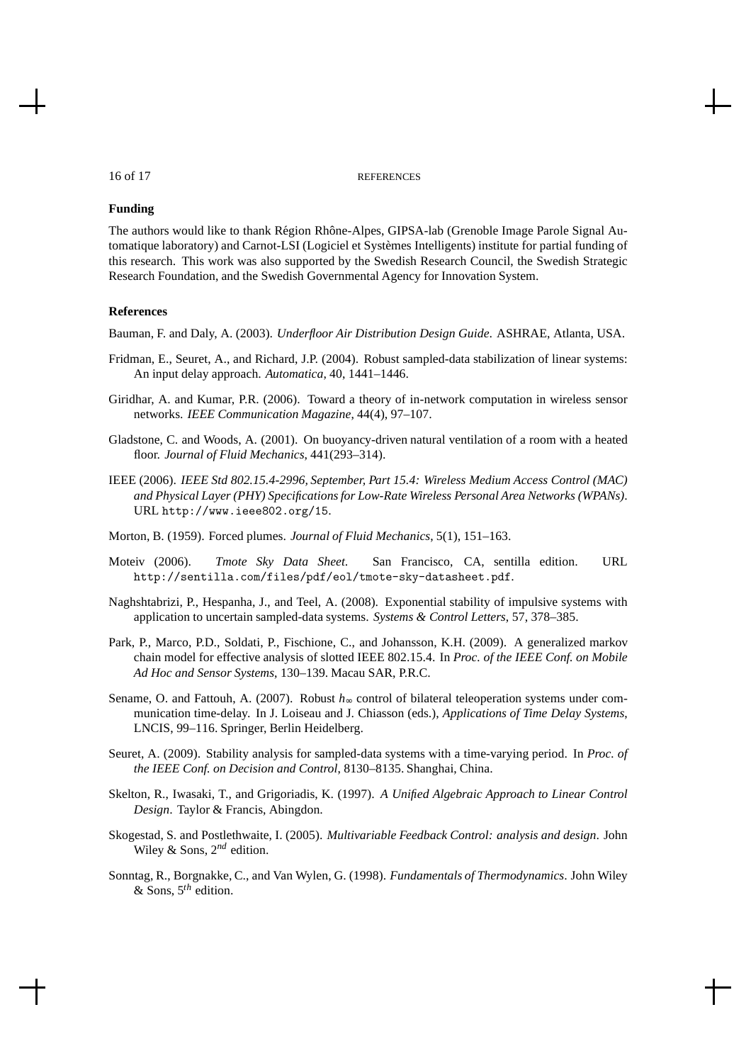# 16 of 17 REFERENCES

## **Funding**

The authors would like to thank Région Rhône-Alpes, GIPSA-lab (Grenoble Image Parole Signal Automatique laboratory) and Carnot-LSI (Logiciel et Systèmes Intelligents) institute for partial funding of this research. This work was also supported by the Swedish Research Council, the Swedish Strategic Research Foundation, and the Swedish Governmental Agency for Innovation System.

#### **References**

Bauman, F. and Daly, A. (2003). *Underfloor Air Distribution Design Guide*. ASHRAE, Atlanta, USA.

- Fridman, E., Seuret, A., and Richard, J.P. (2004). Robust sampled-data stabilization of linear systems: An input delay approach. *Automatica*, 40, 1441–1446.
- Giridhar, A. and Kumar, P.R. (2006). Toward a theory of in-network computation in wireless sensor networks. *IEEE Communication Magazine*, 44(4), 97–107.
- Gladstone, C. and Woods, A. (2001). On buoyancy-driven natural ventilation of a room with a heated floor. *Journal of Fluid Mechanics*, 441(293–314).
- IEEE (2006). *IEEE Std 802.15.4-2996, September, Part 15.4: Wireless Medium Access Control (MAC) and Physical Layer (PHY) Specifications for Low-Rate Wireless Personal Area Networks (WPANs)*. URL http://www.ieee802.org/15.
- Morton, B. (1959). Forced plumes. *Journal of Fluid Mechanics*, 5(1), 151–163.
- Moteiv (2006). *Tmote Sky Data Sheet*. San Francisco, CA, sentilla edition. URL http://sentilla.com/files/pdf/eol/tmote-sky-datasheet.pdf.
- Naghshtabrizi, P., Hespanha, J., and Teel, A. (2008). Exponential stability of impulsive systems with application to uncertain sampled-data systems. *Systems & Control Letters*, 57, 378–385.
- Park, P., Marco, P.D., Soldati, P., Fischione, C., and Johansson, K.H. (2009). A generalized markov chain model for effective analysis of slotted IEEE 802.15.4. In *Proc. of the IEEE Conf. on Mobile Ad Hoc and Sensor Systems*, 130–139. Macau SAR, P.R.C.
- Sename, O. and Fattouh, A. (2007). Robust *h*<sup>∞</sup> control of bilateral teleoperation systems under communication time-delay. In J. Loiseau and J. Chiasson (eds.), *Applications of Time Delay Systems*, LNCIS, 99–116. Springer, Berlin Heidelberg.
- Seuret, A. (2009). Stability analysis for sampled-data systems with a time-varying period. In *Proc. of the IEEE Conf. on Decision and Control*, 8130–8135. Shanghai, China.
- Skelton, R., Iwasaki, T., and Grigoriadis, K. (1997). *A Unified Algebraic Approach to Linear Control Design*. Taylor & Francis, Abingdon.
- Skogestad, S. and Postlethwaite, I. (2005). *Multivariable Feedback Control: analysis and design*. John Wiley & Sons, 2*nd* edition.
- Sonntag, R., Borgnakke, C., and Van Wylen, G. (1998). *Fundamentals of Thermodynamics*. John Wiley & Sons, 5*th* edition.